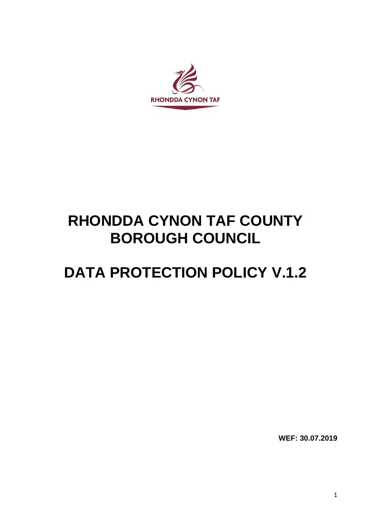

# **RHONDDA CYNON TAF COUNTY BOROUGH COUNCIL**

# **DATA PROTECTION POLICY V.1.2**

**WEF: 30.07.2019**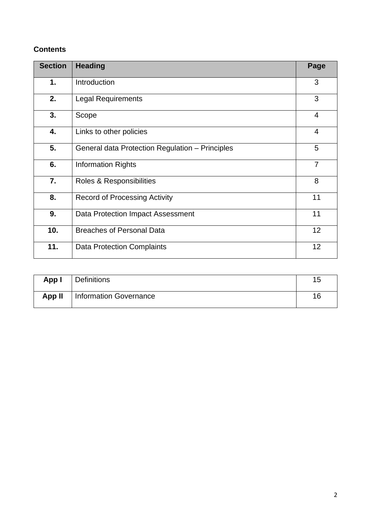# **Contents**

| <b>Section</b> | <b>Heading</b>                                  |   |  |
|----------------|-------------------------------------------------|---|--|
| $\mathbf 1$ .  | Introduction                                    | 3 |  |
| 2.             | <b>Legal Requirements</b>                       | 3 |  |
| 3.             | Scope                                           |   |  |
| 4.             | Links to other policies                         |   |  |
| 5.             | General data Protection Regulation - Principles |   |  |
| 6.             | <b>Information Rights</b>                       |   |  |
| 7.             | Roles & Responsibilities                        |   |  |
| 8.             | <b>Record of Processing Activity</b>            |   |  |
| 9.             | Data Protection Impact Assessment               |   |  |
| 10.            | <b>Breaches of Personal Data</b>                |   |  |
| 11.            | <b>Data Protection Complaints</b>               |   |  |

| App I  | Definitions            | 15 |
|--------|------------------------|----|
| App II | Information Governance | 16 |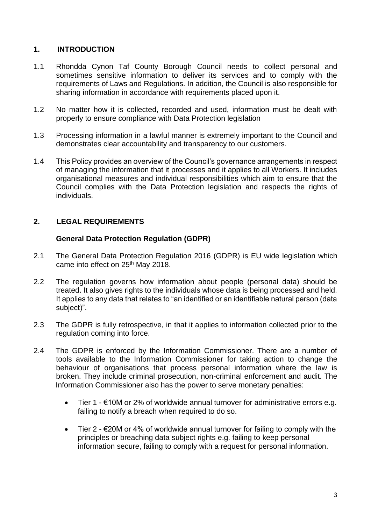# **1. INTRODUCTION**

- 1.1 Rhondda Cynon Taf County Borough Council needs to collect personal and sometimes sensitive information to deliver its services and to comply with the requirements of Laws and Regulations. In addition, the Council is also responsible for sharing information in accordance with requirements placed upon it.
- 1.2 No matter how it is collected, recorded and used, information must be dealt with properly to ensure compliance with Data Protection legislation
- 1.3 Processing information in a lawful manner is extremely important to the Council and demonstrates clear accountability and transparency to our customers.
- 1.4 This Policy provides an overview of the Council's governance arrangements in respect of managing the information that it processes and it applies to all Workers. It includes organisational measures and individual responsibilities which aim to ensure that the Council complies with the Data Protection legislation and respects the rights of individuals.

# **2. LEGAL REQUIREMENTS**

#### **General Data Protection Regulation (GDPR)**

- 2.1 The General Data Protection Regulation 2016 (GDPR) is EU wide legislation which came into effect on 25<sup>th</sup> May 2018.
- 2.2 The regulation governs how information about people (personal data) should be treated. It also gives rights to the individuals whose data is being processed and held. It applies to any data that relates to "an identified or an identifiable natural person (data subject)".
- 2.3 The GDPR is fully retrospective, in that it applies to information collected prior to the regulation coming into force.
- 2.4 The GDPR is enforced by the Information Commissioner. There are a number of tools available to the Information Commissioner for taking action to change the behaviour of organisations that process personal information where the law is broken. They include criminal prosecution, non-criminal enforcement and audit. The Information Commissioner also has the power to serve monetary penalties:
	- Tier 1 €10M or 2% of worldwide annual turnover for administrative errors e.g. failing to notify a breach when required to do so.
	- Tier 2  $\epsilon$ 20M or 4% of worldwide annual turnover for failing to comply with the principles or breaching data subject rights e.g. failing to keep personal information secure, failing to comply with a request for personal information.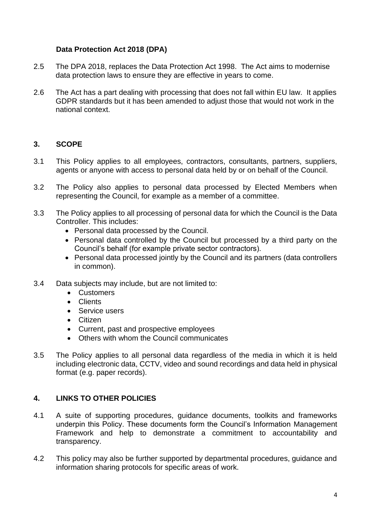# **Data Protection Act 2018 (DPA)**

- 2.5 The DPA 2018, replaces the Data Protection Act 1998. The Act aims to modernise data protection laws to ensure they are effective in years to come.
- 2.6 The Act has a part dealing with processing that does not fall within EU law. It applies GDPR standards but it has been amended to adjust those that would not work in the national context.

# **3. SCOPE**

- 3.1 This Policy applies to all employees, contractors, consultants, partners, suppliers, agents or anyone with access to personal data held by or on behalf of the Council.
- 3.2 The Policy also applies to personal data processed by Elected Members when representing the Council, for example as a member of a committee.
- 3.3 The Policy applies to all processing of personal data for which the Council is the Data Controller. This includes:
	- Personal data processed by the Council.
	- Personal data controlled by the Council but processed by a third party on the Council's behalf (for example private sector contractors).
	- Personal data processed jointly by the Council and its partners (data controllers in common).
- 3.4 Data subjects may include, but are not limited to:
	- Customers
	- Clients
	- Service users
	- Citizen
	- Current, past and prospective employees
	- Others with whom the Council communicates
- 3.5 The Policy applies to all personal data regardless of the media in which it is held including electronic data, CCTV, video and sound recordings and data held in physical format (e.g. paper records).

# **4. LINKS TO OTHER POLICIES**

- 4.1 A suite of supporting procedures, guidance documents, toolkits and frameworks underpin this Policy. These documents form the Council's Information Management Framework and help to demonstrate a commitment to accountability and transparency.
- 4.2 This policy may also be further supported by departmental procedures, guidance and information sharing protocols for specific areas of work.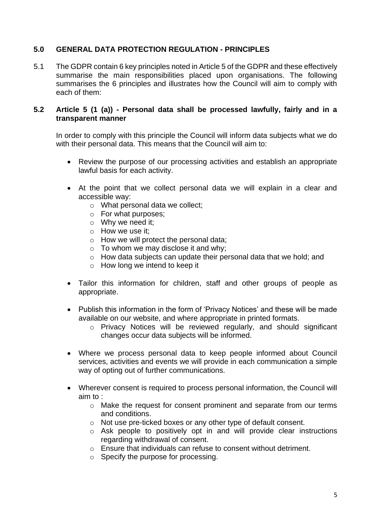# **5.0 GENERAL DATA PROTECTION REGULATION - PRINCIPLES**

5.1 The GDPR contain 6 key principles noted in Article 5 of the GDPR and these effectively summarise the main responsibilities placed upon organisations. The following summarises the 6 principles and illustrates how the Council will aim to comply with each of them:

#### **5.2 Article 5 (1 (a)) - Personal data shall be processed lawfully, fairly and in a transparent manner**

In order to comply with this principle the Council will inform data subjects what we do with their personal data. This means that the Council will aim to:

- Review the purpose of our processing activities and establish an appropriate lawful basis for each activity.
- At the point that we collect personal data we will explain in a clear and accessible way:
	- o What personal data we collect;
	- o For what purposes;
	- o Why we need it;
	- o How we use it;
	- o How we will protect the personal data;
	- $\circ$  To whom we may disclose it and why;
	- o How data subjects can update their personal data that we hold; and
	- o How long we intend to keep it
- Tailor this information for children, staff and other groups of people as appropriate.
- Publish this information in the form of 'Privacy Notices' and these will be made available on our website, and where appropriate in printed formats.
	- o Privacy Notices will be reviewed regularly, and should significant changes occur data subjects will be informed.
- Where we process personal data to keep people informed about Council services, activities and events we will provide in each communication a simple way of opting out of further communications.
- Wherever consent is required to process personal information, the Council will aim to :
	- o Make the request for consent prominent and separate from our terms and conditions.
	- o Not use pre-ticked boxes or any other type of default consent.
	- o Ask people to positively opt in and will provide clear instructions regarding withdrawal of consent.
	- o Ensure that individuals can refuse to consent without detriment.
	- o Specify the purpose for processing.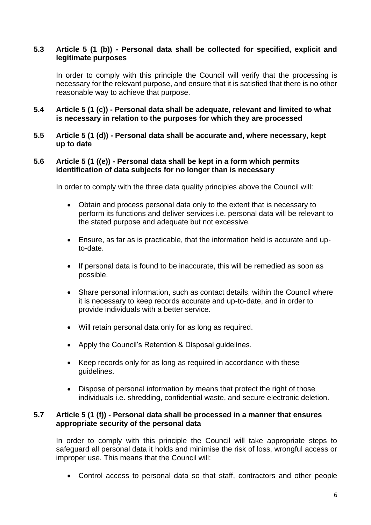#### **5.3 Article 5 (1 (b)) - Personal data shall be collected for specified, explicit and legitimate purposes**

In order to comply with this principle the Council will verify that the processing is necessary for the relevant purpose, and ensure that it is satisfied that there is no other reasonable way to achieve that purpose.

- **5.4 Article 5 (1 (c)) - Personal data shall be adequate, relevant and limited to what is necessary in relation to the purposes for which they are processed**
- **5.5 Article 5 (1 (d)) - Personal data shall be accurate and, where necessary, kept up to date**

#### **5.6 Article 5 (1 ((e)) - Personal data shall be kept in a form which permits identification of data subjects for no longer than is necessary**

In order to comply with the three data quality principles above the Council will:

- Obtain and process personal data only to the extent that is necessary to perform its functions and deliver services i.e. personal data will be relevant to the stated purpose and adequate but not excessive.
- Ensure, as far as is practicable, that the information held is accurate and upto-date.
- If personal data is found to be inaccurate, this will be remedied as soon as possible.
- Share personal information, such as contact details, within the Council where it is necessary to keep records accurate and up-to-date, and in order to provide individuals with a better service.
- Will retain personal data only for as long as required.
- Apply the Council's Retention & Disposal guidelines.
- Keep records only for as long as required in accordance with these guidelines.
- Dispose of personal information by means that protect the right of those individuals i.e. shredding, confidential waste, and secure electronic deletion.

#### **5.7 Article 5 (1 (f)) - Personal data shall be processed in a manner that ensures appropriate security of the personal data**

In order to comply with this principle the Council will take appropriate steps to safeguard all personal data it holds and minimise the risk of loss, wrongful access or improper use. This means that the Council will:

• Control access to personal data so that staff, contractors and other people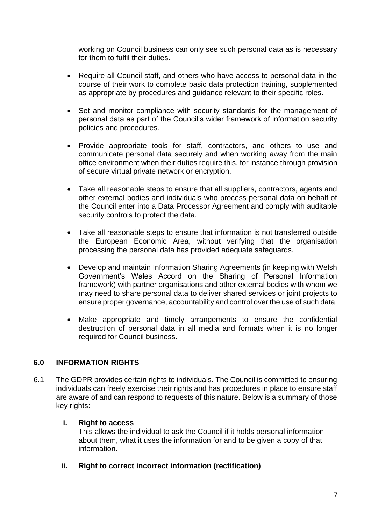working on Council business can only see such personal data as is necessary for them to fulfil their duties.

- Require all Council staff, and others who have access to personal data in the course of their work to complete basic data protection training, supplemented as appropriate by procedures and guidance relevant to their specific roles.
- Set and monitor compliance with security standards for the management of personal data as part of the Council's wider framework of information security policies and procedures.
- Provide appropriate tools for staff, contractors, and others to use and communicate personal data securely and when working away from the main office environment when their duties require this, for instance through provision of secure virtual private network or encryption.
- Take all reasonable steps to ensure that all suppliers, contractors, agents and other external bodies and individuals who process personal data on behalf of the Council enter into a Data Processor Agreement and comply with auditable security controls to protect the data.
- Take all reasonable steps to ensure that information is not transferred outside the European Economic Area, without verifying that the organisation processing the personal data has provided adequate safeguards.
- Develop and maintain Information Sharing Agreements (in keeping with Welsh Government's Wales Accord on the Sharing of Personal Information framework) with partner organisations and other external bodies with whom we may need to share personal data to deliver shared services or joint projects to ensure proper governance, accountability and control over the use of such data.
- Make appropriate and timely arrangements to ensure the confidential destruction of personal data in all media and formats when it is no longer required for Council business.

# **6.0 INFORMATION RIGHTS**

6.1 The GDPR provides certain rights to individuals. The Council is committed to ensuring individuals can freely exercise their rights and has procedures in place to ensure staff are aware of and can respond to requests of this nature. Below is a summary of those key rights:

# **i. Right to access**

This allows the individual to ask the Council if it holds personal information about them, what it uses the information for and to be given a copy of that information.

**ii. Right to correct incorrect information (rectification)**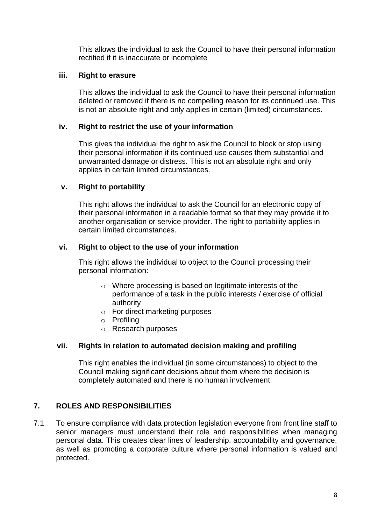This allows the individual to ask the Council to have their personal information rectified if it is inaccurate or incomplete

#### **iii. Right to erasure**

This allows the individual to ask the Council to have their personal information deleted or removed if there is no compelling reason for its continued use. This is not an absolute right and only applies in certain (limited) circumstances.

### **iv. Right to restrict the use of your information**

This gives the individual the right to ask the Council to block or stop using their personal information if its continued use causes them substantial and unwarranted damage or distress. This is not an absolute right and only applies in certain limited circumstances.

#### **v. Right to portability**

This right allows the individual to ask the Council for an electronic copy of their personal information in a readable format so that they may provide it to another organisation or service provider. The right to portability applies in certain limited circumstances.

#### **vi. Right to object to the use of your information**

This right allows the individual to object to the Council processing their personal information:

- o Where processing is based on legitimate interests of the performance of a task in the public interests / exercise of official authority
- o For direct marketing purposes
- o Profiling
- o Research purposes

#### **vii. Rights in relation to automated decision making and profiling**

This right enables the individual (in some circumstances) to object to the Council making significant decisions about them where the decision is completely automated and there is no human involvement.

# **7. ROLES AND RESPONSIBILITIES**

7.1 To ensure compliance with data protection legislation everyone from front line staff to senior managers must understand their role and responsibilities when managing personal data. This creates clear lines of leadership, accountability and governance, as well as promoting a corporate culture where personal information is valued and protected.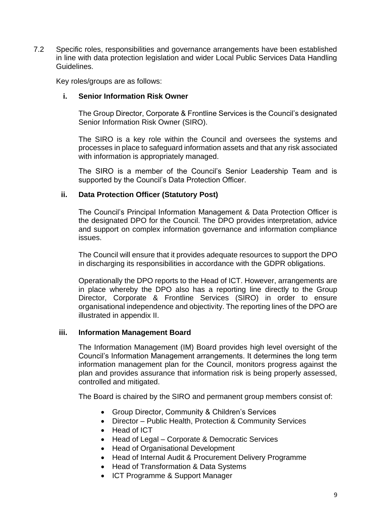7.2 Specific roles, responsibilities and governance arrangements have been established in line with data protection legislation and wider Local Public Services Data Handling Guidelines.

Key roles/groups are as follows:

#### **i. Senior Information Risk Owner**

The Group Director, Corporate & Frontline Services is the Council's designated Senior Information Risk Owner (SIRO).

The SIRO is a key role within the Council and oversees the systems and processes in place to safeguard information assets and that any risk associated with information is appropriately managed.

The SIRO is a member of the Council's Senior Leadership Team and is supported by the Council's Data Protection Officer.

#### **ii. Data Protection Officer (Statutory Post)**

The Council's Principal Information Management & Data Protection Officer is the designated DPO for the Council. The DPO provides interpretation, advice and support on complex information governance and information compliance issues.

The Council will ensure that it provides adequate resources to support the DPO in discharging its responsibilities in accordance with the GDPR obligations.

Operationally the DPO reports to the Head of ICT. However, arrangements are in place whereby the DPO also has a reporting line directly to the Group Director, Corporate & Frontline Services (SIRO) in order to ensure organisational independence and objectivity. The reporting lines of the DPO are illustrated in appendix II.

#### **iii. Information Management Board**

The Information Management (IM) Board provides high level oversight of the Council's Information Management arrangements. It determines the long term information management plan for the Council, monitors progress against the plan and provides assurance that information risk is being properly assessed, controlled and mitigated.

The Board is chaired by the SIRO and permanent group members consist of:

- Group Director, Community & Children's Services
- Director Public Health, Protection & Community Services
- Head of ICT
- Head of Legal Corporate & Democratic Services
- Head of Organisational Development
- Head of Internal Audit & Procurement Delivery Programme
- Head of Transformation & Data Systems
- ICT Programme & Support Manager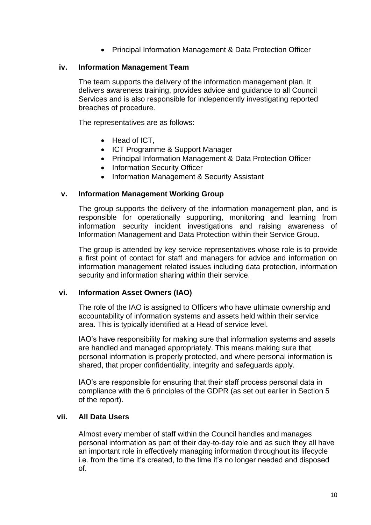• Principal Information Management & Data Protection Officer

#### **iv. Information Management Team**

The team supports the delivery of the information management plan. It delivers awareness training, provides advice and guidance to all Council Services and is also responsible for independently investigating reported breaches of procedure.

The representatives are as follows:

- Head of ICT,
- ICT Programme & Support Manager
- Principal Information Management & Data Protection Officer
- Information Security Officer
- Information Management & Security Assistant

#### **v. Information Management Working Group**

The group supports the delivery of the information management plan, and is responsible for operationally supporting, monitoring and learning from information security incident investigations and raising awareness of Information Management and Data Protection within their Service Group.

The group is attended by key service representatives whose role is to provide a first point of contact for staff and managers for advice and information on information management related issues including data protection, information security and information sharing within their service.

#### **vi. Information Asset Owners (IAO)**

The role of the IAO is assigned to Officers who have ultimate ownership and accountability of information systems and assets held within their service area. This is typically identified at a Head of service level.

IAO's have responsibility for making sure that information systems and assets are handled and managed appropriately. This means making sure that personal information is properly protected, and where personal information is shared, that proper confidentiality, integrity and safeguards apply.

IAO's are responsible for ensuring that their staff process personal data in compliance with the 6 principles of the GDPR (as set out earlier in Section 5 of the report).

#### **vii. All Data Users**

Almost every member of staff within the Council handles and manages personal information as part of their day-to-day role and as such they all have an important role in effectively managing information throughout its lifecycle i.e. from the time it's created, to the time it's no longer needed and disposed of.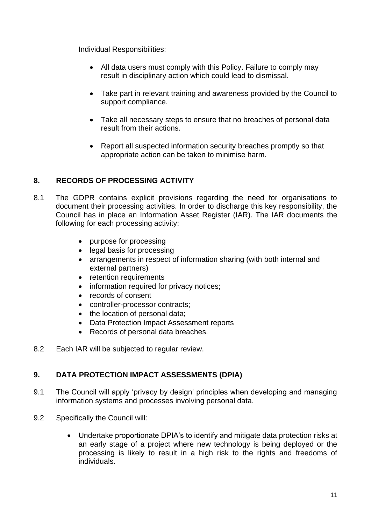Individual Responsibilities:

- All data users must comply with this Policy. Failure to comply may result in disciplinary action which could lead to dismissal.
- Take part in relevant training and awareness provided by the Council to support compliance.
- Take all necessary steps to ensure that no breaches of personal data result from their actions.
- Report all suspected information security breaches promptly so that appropriate action can be taken to minimise harm*.*

# **8. RECORDS OF PROCESSING ACTIVITY**

- 8.1 The GDPR contains explicit provisions regarding the need for organisations to document their processing activities. In order to discharge this key responsibility, the Council has in place an Information Asset Register (IAR). The IAR documents the following for each processing activity:
	- purpose for processing
	- legal basis for processing
	- arrangements in respect of information sharing (with both internal and external partners)
	- retention requirements
	- information required for privacy notices;
	- records of consent
	- controller-processor contracts;
	- the location of personal data;
	- Data Protection Impact Assessment reports
	- Records of personal data breaches.
- 8.2 Each IAR will be subjected to regular review.

# **9. DATA PROTECTION IMPACT ASSESSMENTS (DPIA)**

- 9.1 The Council will apply 'privacy by design' principles when developing and managing information systems and processes involving personal data.
- 9.2 Specifically the Council will:
	- Undertake proportionate DPIA's to identify and mitigate data protection risks at an early stage of a project where new technology is being deployed or the processing is likely to result in a high risk to the rights and freedoms of individuals.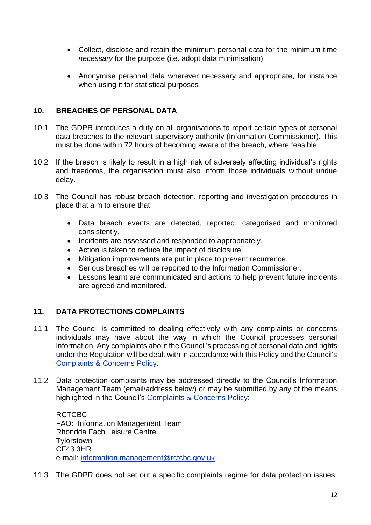- Collect, disclose and retain the minimum personal data for the minimum time *necessary* for the purpose (i.e. adopt data minimisation)
- Anonymise personal data wherever necessary and appropriate, for instance when using it for statistical purposes

### **10. BREACHES OF PERSONAL DATA**

- 10.1 The GDPR introduces a duty on all organisations to report certain types of personal data breaches to the relevant supervisory authority (Information Commissioner). This must be done within 72 hours of becoming aware of the breach, where feasible.
- 10.2 If the breach is likely to result in a high risk of adversely affecting individual's rights and freedoms, the organisation must also inform those individuals without undue delay.
- 10.3 The Council has robust breach detection, reporting and investigation procedures in place that aim to ensure that:
	- Data breach events are detected, reported, categorised and monitored consistently.
	- Incidents are assessed and responded to appropriately.
	- Action is taken to reduce the impact of disclosure.
	- Mitigation improvements are put in place to prevent recurrence.
	- Serious breaches will be reported to the Information Commissioner.
	- Lessons learnt are communicated and actions to help prevent future incidents are agreed and monitored.

# **11. DATA PROTECTIONS COMPLAINTS**

- 11.1 The Council is committed to dealing effectively with any complaints or concerns individuals may have about the way in which the Council processes personal information. Any complaints about the Council's processing of personal data and rights under the Regulation will be dealt with in accordance with this Policy and the Council's [Complaints & Concerns Policy.](https://www.rctcbc.gov.uk/EN/GetInvolved/CommentsComplimentsandComplaints/relateddocuments/COMMENTSCOMPLIMENTSANDCOMPLAINTSPOLICY.pdf)
- 11.2 Data protection complaints may be addressed directly to the Council's Information Management Team (email/address below) or may be submitted by any of the means highlighted in the Council's [Complaints & Concerns Policy:](https://www.rctcbc.gov.uk/EN/GetInvolved/CommentsComplimentsandComplaints/relateddocuments/COMMENTSCOMPLIMENTSANDCOMPLAINTSPOLICY.pdf)

RCTCBC FAO: Information Management Team Rhondda Fach Leisure Centre **Tylorstown** CF43 3HR e-mail: [information.management@rctcbc.gov.uk](mailto:information.management@rctcbc.gov.uk)

11.3 The GDPR does not set out a specific complaints regime for data protection issues.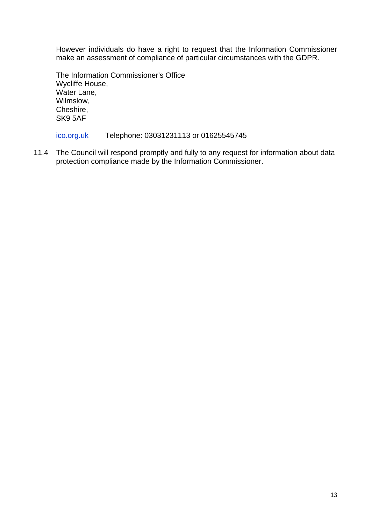However individuals do have a right to request that the Information Commissioner make an assessment of compliance of particular circumstances with the GDPR.

The Information Commissioner's Office Wycliffe House, Water Lane, Wilmslow, Cheshire, SK9 5AF

### [ico.org.uk](https://ico.org.uk/) Telephone: 03031231113 or 01625545745

11.4 The Council will respond promptly and fully to any request for information about data protection compliance made by the Information Commissioner.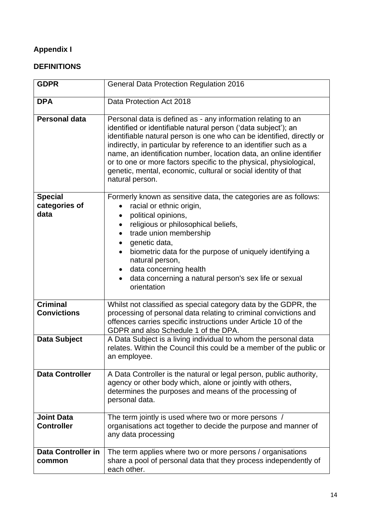# **Appendix I**

# **DEFINITIONS**

| <b>GDPR</b>                             | <b>General Data Protection Regulation 2016</b>                                                                                                                                                                                                                                                                                                                                                                                                                                                                 |  |  |  |
|-----------------------------------------|----------------------------------------------------------------------------------------------------------------------------------------------------------------------------------------------------------------------------------------------------------------------------------------------------------------------------------------------------------------------------------------------------------------------------------------------------------------------------------------------------------------|--|--|--|
| <b>DPA</b>                              | Data Protection Act 2018                                                                                                                                                                                                                                                                                                                                                                                                                                                                                       |  |  |  |
| <b>Personal data</b>                    | Personal data is defined as - any information relating to an<br>identified or identifiable natural person ('data subject'); an<br>identifiable natural person is one who can be identified, directly or<br>indirectly, in particular by reference to an identifier such as a<br>name, an identification number, location data, an online identifier<br>or to one or more factors specific to the physical, physiological,<br>genetic, mental, economic, cultural or social identity of that<br>natural person. |  |  |  |
| <b>Special</b><br>categories of<br>data | Formerly known as sensitive data, the categories are as follows:<br>racial or ethnic origin,<br>political opinions,<br>$\bullet$<br>religious or philosophical beliefs,<br>trade union membership<br>$\bullet$<br>genetic data,<br>$\bullet$<br>biometric data for the purpose of uniquely identifying a<br>natural person,<br>data concerning health<br>data concerning a natural person's sex life or sexual<br>$\bullet$<br>orientation                                                                     |  |  |  |
| <b>Criminal</b><br><b>Convictions</b>   | Whilst not classified as special category data by the GDPR, the<br>processing of personal data relating to criminal convictions and<br>offences carries specific instructions under Article 10 of the<br>GDPR and also Schedule 1 of the DPA.                                                                                                                                                                                                                                                                  |  |  |  |
| <b>Data Subject</b>                     | A Data Subject is a living individual to whom the personal data<br>relates. Within the Council this could be a member of the public or<br>an employee.                                                                                                                                                                                                                                                                                                                                                         |  |  |  |
| <b>Data Controller</b>                  | A Data Controller is the natural or legal person, public authority,<br>agency or other body which, alone or jointly with others,<br>determines the purposes and means of the processing of<br>personal data.                                                                                                                                                                                                                                                                                                   |  |  |  |
| <b>Joint Data</b><br><b>Controller</b>  | The term jointly is used where two or more persons /<br>organisations act together to decide the purpose and manner of<br>any data processing                                                                                                                                                                                                                                                                                                                                                                  |  |  |  |
| <b>Data Controller in</b><br>common     | The term applies where two or more persons / organisations<br>share a pool of personal data that they process independently of<br>each other.                                                                                                                                                                                                                                                                                                                                                                  |  |  |  |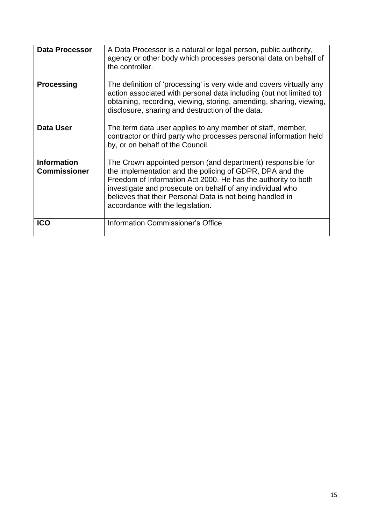| <b>Data Processor</b>                     | A Data Processor is a natural or legal person, public authority,<br>agency or other body which processes personal data on behalf of<br>the controller.                                                                                                                                                                                                 |
|-------------------------------------------|--------------------------------------------------------------------------------------------------------------------------------------------------------------------------------------------------------------------------------------------------------------------------------------------------------------------------------------------------------|
| <b>Processing</b>                         | The definition of 'processing' is very wide and covers virtually any<br>action associated with personal data including (but not limited to)<br>obtaining, recording, viewing, storing, amending, sharing, viewing,<br>disclosure, sharing and destruction of the data.                                                                                 |
| <b>Data User</b>                          | The term data user applies to any member of staff, member,<br>contractor or third party who processes personal information held<br>by, or on behalf of the Council.                                                                                                                                                                                    |
| <b>Information</b><br><b>Commissioner</b> | The Crown appointed person (and department) responsible for<br>the implementation and the policing of GDPR, DPA and the<br>Freedom of Information Act 2000. He has the authority to both<br>investigate and prosecute on behalf of any individual who<br>believes that their Personal Data is not being handled in<br>accordance with the legislation. |
| <b>ICO</b>                                | Information Commissioner's Office                                                                                                                                                                                                                                                                                                                      |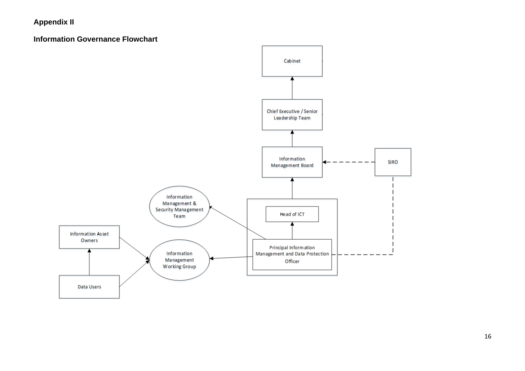# **Appendix II**

#### **Information Governance Flowchart**